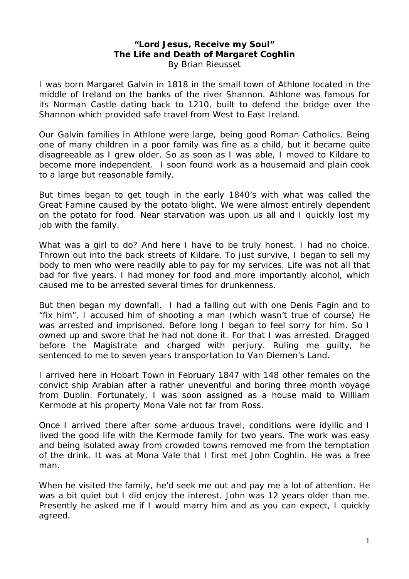## **"Lord Jesus, Receive my Soul" The Life and Death of Margaret Coghlin**  By Brian Rieusset

I was born Margaret Galvin in 1818 in the small town of Athlone located in the middle of Ireland on the banks of the river Shannon. Athlone was famous for its Norman Castle dating back to 1210, built to defend the bridge over the Shannon which provided safe travel from West to East Ireland.

Our Galvin families in Athlone were large, being good Roman Catholics. Being one of many children in a poor family was fine as a child, but it became quite disagreeable as I grew older. So as soon as I was able, I moved to Kildare to become more independent. I soon found work as a housemaid and plain cook to a large but reasonable family.

But times began to get tough in the early 1840's with what was called the Great Famine caused by the potato blight. We were almost entirely dependent on the potato for food. Near starvation was upon us all and I quickly lost my job with the family.

What was a girl to do? And here I have to be truly honest. I had no choice. Thrown out into the back streets of Kildare. To just survive, I began to sell my body to men who were readily able to pay for my services. Life was not all that bad for five years. I had money for food and more importantly alcohol, which caused me to be arrested several times for drunkenness.

But then began my downfall. I had a falling out with one Denis Fagin and to "fix him", I accused him of shooting a man (which wasn't true of course) He was arrested and imprisoned. Before long I began to feel sorry for him. So I owned up and swore that he had not done it. For that I was arrested. Dragged before the Magistrate and charged with perjury. Ruling me guilty, he sentenced to me to seven years transportation to Van Diemen's Land.

I arrived here in Hobart Town in February 1847 with 148 other females on the convict ship *Arabian* after a rather uneventful and boring three month voyage from Dublin. Fortunately, I was soon assigned as a house maid to William Kermode at his property Mona Vale not far from Ross.

Once I arrived there after some arduous travel, conditions were idyllic and I lived the good life with the Kermode family for two years. The work was easy and being isolated away from crowded towns removed me from the temptation of the drink. It was at Mona Vale that I first met John Coghlin. He was a free man.

When he visited the family, he'd seek me out and pay me a lot of attention. He was a bit quiet but I did enjoy the interest. John was 12 years older than me. Presently he asked me if I would marry him and as you can expect, I quickly agreed.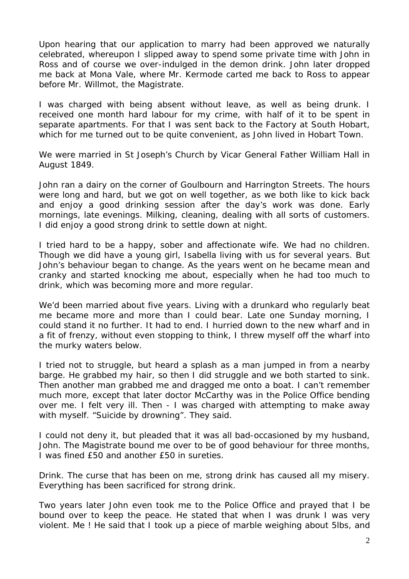Upon hearing that our application to marry had been approved we naturally celebrated, whereupon I slipped away to spend some private time with John in Ross and of course we over-indulged in the demon drink. John later dropped me back at Mona Vale, where Mr. Kermode carted me back to Ross to appear before Mr. Willmot, the Magistrate.

I was charged with being absent without leave, as well as being drunk. I received one month hard labour for my crime, with half of it to be spent in separate apartments. For that I was sent back to the Factory at South Hobart, which for me turned out to be quite convenient, as John lived in Hobart Town.

We were married in St Joseph's Church by Vicar General Father William Hall in August 1849.

John ran a dairy on the corner of Goulbourn and Harrington Streets. The hours were long and hard, but we got on well together, as we both like to kick back and enjoy a good drinking session after the day's work was done. Early mornings, late evenings. Milking, cleaning, dealing with all sorts of customers. I did enjoy a good strong drink to settle down at night.

I tried hard to be a happy, sober and affectionate wife. We had no children. Though we did have a young girl, Isabella living with us for several years. But John's behaviour began to change. As the years went on he became mean and cranky and started knocking me about, especially when he had too much to drink, which was becoming more and more regular.

We'd been married about five years. Living with a drunkard who regularly beat me became more and more than I could bear. Late one Sunday morning, I could stand it no further. It had to end. I hurried down to the new wharf and in a fit of frenzy, without even stopping to think, I threw myself off the wharf into the murky waters below.

I tried not to struggle, but heard a splash as a man jumped in from a nearby barge. He grabbed my hair, so then I did struggle and we both started to sink. Then another man grabbed me and dragged me onto a boat. I can't remember much more, except that later doctor McCarthy was in the Police Office bending over me. I felt very ill. Then - I was charged with attempting to make away with myself. "Suicide by drowning". They said.

I could not deny it, but pleaded that it was all bad-occasioned by my husband, John. The Magistrate bound me over to be of good behaviour for three months, I was fined £50 and another £50 in sureties.

Drink. The curse that has been on me, strong drink has caused all my misery. Everything has been sacrificed for strong drink.

Two years later John even took me to the Police Office and prayed that I be bound over to keep the peace. He stated that when I was drunk I was very violent. Me ! He said that I took up a piece of marble weighing about 5lbs, and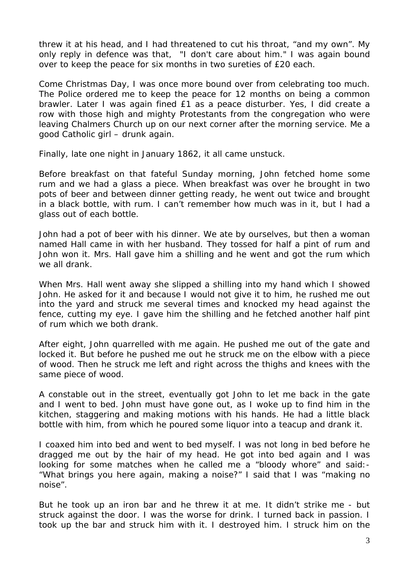threw it at his head, and I had threatened to cut his throat, "and my own". My only reply in defence was that, "I don't care about him." I was again bound over to keep the peace for six months in two sureties of £20 each.

Come Christmas Day, I was once more bound over from celebrating too much. The Police ordered me to keep the peace for 12 months on being a common brawler. Later I was again fined £1 as a peace disturber. Yes, I did create a row with those high and mighty Protestants from the congregation who were leaving Chalmers Church up on our next corner after the morning service. Me a good Catholic girl – drunk again.

Finally, late one night in January 1862, it all came unstuck.

Before breakfast on that fateful Sunday morning, John fetched home some rum and we had a glass a piece. When breakfast was over he brought in two pots of beer and between dinner getting ready, he went out twice and brought in a black bottle, with rum. I can't remember how much was in it, but I had a glass out of each bottle.

John had a pot of beer with his dinner. We ate by ourselves, but then a woman named Hall came in with her husband. They tossed for half a pint of rum and John won it. Mrs. Hall gave him a shilling and he went and got the rum which we all drank.

When Mrs. Hall went away she slipped a shilling into my hand which I showed John. He asked for it and because I would not give it to him, he rushed me out into the yard and struck me several times and knocked my head against the fence, cutting my eye. I gave him the shilling and he fetched another half pint of rum which we both drank.

After eight, John quarrelled with me again. He pushed me out of the gate and locked it. But before he pushed me out he struck me on the elbow with a piece of wood. Then he struck me left and right across the thighs and knees with the same piece of wood.

A constable out in the street, eventually got John to let me back in the gate and I went to bed. John must have gone out, as I woke up to find him in the kitchen, staggering and making motions with his hands. He had a little black bottle with him, from which he poured some liquor into a teacup and drank it.

I coaxed him into bed and went to bed myself. I was not long in bed before he dragged me out by the hair of my head. He got into bed again and I was looking for some matches when he called me a "bloody whore" and said:- "What brings you here again, making a noise?" I said that I was "making no noise".

But he took up an iron bar and he threw it at me. It didn't strike me - but struck against the door. I was the worse for drink. I turned back in passion. I took up the bar and struck him with it. I destroyed him. I struck him on the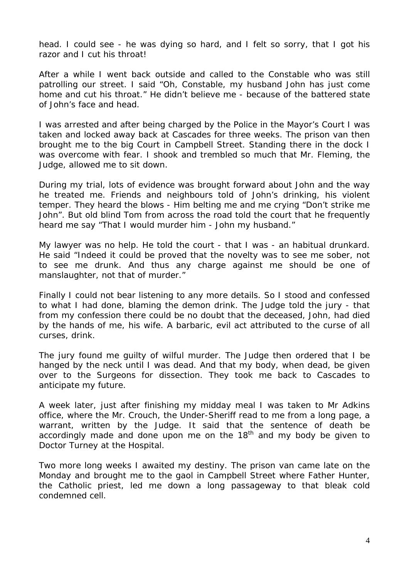head. I could see - he was dying so hard, and I felt so sorry, that I got his razor and I cut his throat!

After a while I went back outside and called to the Constable who was still patrolling our street. I said "Oh, Constable, my husband John has just come home and cut his throat." He didn't believe me - because of the battered state of John's face and head.

I was arrested and after being charged by the Police in the Mayor's Court I was taken and locked away back at Cascades for three weeks. The prison van then brought me to the big Court in Campbell Street. Standing there in the dock I was overcome with fear. I shook and trembled so much that Mr. Fleming, the Judge, allowed me to sit down.

During my trial, lots of evidence was brought forward about John and the way he treated me. Friends and neighbours told of John's drinking, his violent temper. They heard the blows - Him belting me and me crying "Don't strike me John". But old blind Tom from across the road told the court that he frequently heard me say "That I would murder him - John my husband."

My lawyer was no help. He told the court - that I was - an habitual drunkard. He said "Indeed it could be proved that the novelty was to see me sober, not to see me drunk. And thus any charge against me should be one of manslaughter, not that of murder."

Finally I could not bear listening to any more details. So I stood and confessed to what I had done, blaming the demon drink. The Judge told the jury - that from my confession there could be no doubt that the deceased, John, had died by the hands of me, his wife. A barbaric, evil act attributed to the curse of all curses, drink.

The jury found me guilty of wilful murder. The Judge then ordered that I be hanged by the neck until I was dead. And that my body, when dead, be given over to the Surgeons for dissection. They took me back to Cascades to anticipate my future.

A week later, just after finishing my midday meal I was taken to Mr Adkins office, where the Mr. Crouch, the Under-Sheriff read to me from a long page, a warrant, written by the Judge. It said that the sentence of death be accordingly made and done upon me on the  $18<sup>th</sup>$  and my body be given to Doctor Turney at the Hospital.

Two more long weeks I awaited my destiny. The prison van came late on the Monday and brought me to the gaol in Campbell Street where Father Hunter, the Catholic priest, led me down a long passageway to that bleak cold condemned cell.